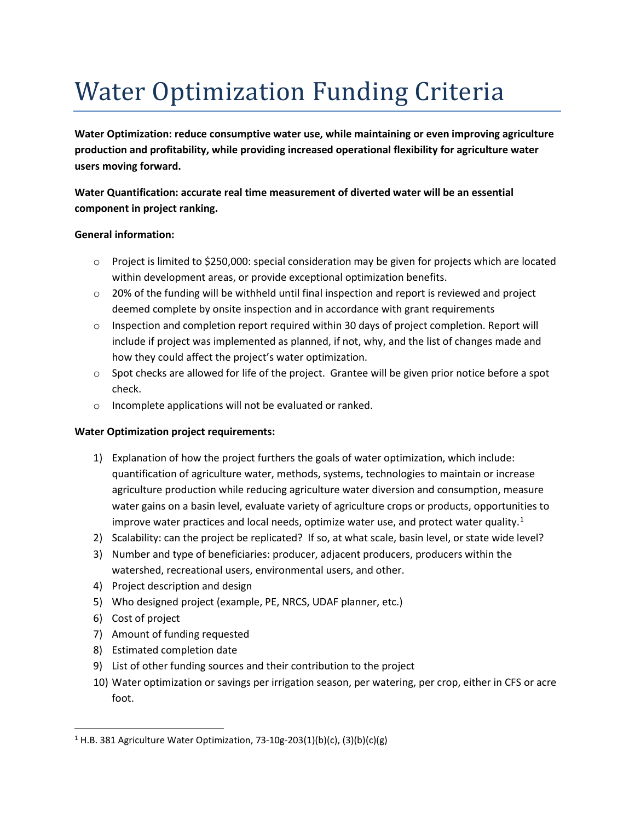## Water Optimization Funding Criteria

**Water Optimization: reduce consumptive water use, while maintaining or even improving agriculture production and profitability, while providing increased operational flexibility for agriculture water users moving forward.**

**Water Quantification: accurate real time measurement of diverted water will be an essential component in project ranking.**

## **General information:**

- o Project is limited to \$250,000: special consideration may be given for projects which are located within development areas, or provide exceptional optimization benefits.
- $\circ$  20% of the funding will be withheld until final inspection and report is reviewed and project deemed complete by onsite inspection and in accordance with grant requirements
- o Inspection and completion report required within 30 days of project completion. Report will include if project was implemented as planned, if not, why, and the list of changes made and how they could affect the project's water optimization.
- $\circ$  Spot checks are allowed for life of the project. Grantee will be given prior notice before a spot check.
- o Incomplete applications will not be evaluated or ranked.

## **Water Optimization project requirements:**

- 1) Explanation of how the project furthers the goals of water optimization, which include: quantification of agriculture water, methods, systems, technologies to maintain or increase agriculture production while reducing agriculture water diversion and consumption, measure water gains on a basin level, evaluate variety of agriculture crops or products, opportunities to improve water practices and local needs, optimize water use, and protect water quality. $1$
- 2) Scalability: can the project be replicated? If so, at what scale, basin level, or state wide level?
- 3) Number and type of beneficiaries: producer, adjacent producers, producers within the watershed, recreational users, environmental users, and other.
- 4) Project description and design
- 5) Who designed project (example, PE, NRCS, UDAF planner, etc.)
- 6) Cost of project
- 7) Amount of funding requested
- 8) Estimated completion date
- 9) List of other funding sources and their contribution to the project
- 10) Water optimization or savings per irrigation season, per watering, per crop, either in CFS or acre foot.

<span id="page-0-0"></span><sup>&</sup>lt;sup>1</sup> H.B. 381 Agriculture Water Optimization, 73-10g-203(1)(b)(c), (3)(b)(c)(g)